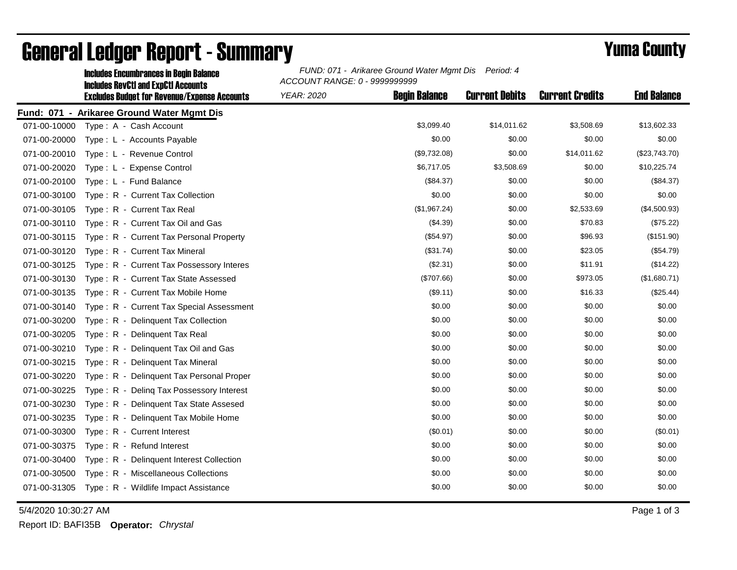|              | <b>Includes Encumbrances in Begin Balance</b>                                                     | FUND: 071 - Arikaree Ground Water Mgmt Dis<br>Period: 4<br>ACCOUNT RANGE: 0 - 9999999999 |                      |                       |                        |                    |
|--------------|---------------------------------------------------------------------------------------------------|------------------------------------------------------------------------------------------|----------------------|-----------------------|------------------------|--------------------|
|              | <b>Includes RevCtI and ExpCtI Accounts</b><br><b>Excludes Budget for Revenue/Expense Accounts</b> | <b>YEAR: 2020</b>                                                                        | <b>Begin Balance</b> | <b>Current Debits</b> | <b>Current Credits</b> | <b>End Balance</b> |
|              | Fund: 071 - Arikaree Ground Water Mgmt Dis                                                        |                                                                                          |                      |                       |                        |                    |
| 071-00-10000 | Type: A - Cash Account                                                                            |                                                                                          | \$3,099.40           | \$14,011.62           | \$3,508.69             | \$13,602.33        |
| 071-00-20000 | Type: L - Accounts Payable                                                                        |                                                                                          | \$0.00               | \$0.00                | \$0.00                 | \$0.00             |
| 071-00-20010 | Type: L - Revenue Control                                                                         |                                                                                          | (\$9,732.08)         | \$0.00                | \$14,011.62            | (\$23,743.70)      |
| 071-00-20020 | Type: L - Expense Control                                                                         |                                                                                          | \$6,717.05           | \$3,508.69            | \$0.00                 | \$10,225.74        |
| 071-00-20100 | Type: L - Fund Balance                                                                            |                                                                                          | (\$84.37)            | \$0.00                | \$0.00                 | (\$84.37)          |
| 071-00-30100 | Type: R - Current Tax Collection                                                                  |                                                                                          | \$0.00               | \$0.00                | \$0.00                 | \$0.00             |
| 071-00-30105 | Type: R - Current Tax Real                                                                        |                                                                                          | (\$1,967.24)         | \$0.00                | \$2,533.69             | (\$4,500.93)       |
| 071-00-30110 | Type: R - Current Tax Oil and Gas                                                                 |                                                                                          | (\$4.39)             | \$0.00                | \$70.83                | (\$75.22)          |
| 071-00-30115 | Type: R - Current Tax Personal Property                                                           |                                                                                          | (\$54.97)            | \$0.00                | \$96.93                | (\$151.90)         |
| 071-00-30120 | Type: R - Current Tax Mineral                                                                     |                                                                                          | (\$31.74)            | \$0.00                | \$23.05                | (\$54.79)          |
| 071-00-30125 | Type: R - Current Tax Possessory Interes                                                          |                                                                                          | (\$2.31)             | \$0.00                | \$11.91                | (\$14.22)          |
| 071-00-30130 | Type: R - Current Tax State Assessed                                                              |                                                                                          | (\$707.66)           | \$0.00                | \$973.05               | (\$1,680.71)       |
| 071-00-30135 | Type: R - Current Tax Mobile Home                                                                 |                                                                                          | (\$9.11)             | \$0.00                | \$16.33                | (\$25.44)          |
| 071-00-30140 | Type: R - Current Tax Special Assessment                                                          |                                                                                          | \$0.00               | \$0.00                | \$0.00                 | \$0.00             |
| 071-00-30200 | Type: R - Delinquent Tax Collection                                                               |                                                                                          | \$0.00               | \$0.00                | \$0.00                 | \$0.00             |
| 071-00-30205 | Type: R - Delinguent Tax Real                                                                     |                                                                                          | \$0.00               | \$0.00                | \$0.00                 | \$0.00             |
| 071-00-30210 | Type: R - Delinquent Tax Oil and Gas                                                              |                                                                                          | \$0.00               | \$0.00                | \$0.00                 | \$0.00             |
| 071-00-30215 | Type: R - Delinquent Tax Mineral                                                                  |                                                                                          | \$0.00               | \$0.00                | \$0.00                 | \$0.00             |
| 071-00-30220 | Type: R - Delinquent Tax Personal Proper                                                          |                                                                                          | \$0.00               | \$0.00                | \$0.00                 | \$0.00             |
| 071-00-30225 | Type: R - Deling Tax Possessory Interest                                                          |                                                                                          | \$0.00               | \$0.00                | \$0.00                 | \$0.00             |
| 071-00-30230 | Type: R - Delinquent Tax State Assesed                                                            |                                                                                          | \$0.00               | \$0.00                | \$0.00                 | \$0.00             |
| 071-00-30235 | Type: R - Delinquent Tax Mobile Home                                                              |                                                                                          | \$0.00               | \$0.00                | \$0.00                 | \$0.00             |
| 071-00-30300 | Type: R - Current Interest                                                                        |                                                                                          | (\$0.01)             | \$0.00                | \$0.00                 | (\$0.01)           |
| 071-00-30375 | Type: R - Refund Interest                                                                         |                                                                                          | \$0.00               | \$0.00                | \$0.00                 | \$0.00             |
| 071-00-30400 | Type: R - Delinquent Interest Collection                                                          |                                                                                          | \$0.00               | \$0.00                | \$0.00                 | \$0.00             |
| 071-00-30500 | Type: R - Miscellaneous Collections                                                               |                                                                                          | \$0.00               | \$0.00                | \$0.00                 | \$0.00             |
| 071-00-31305 | Type: R - Wildlife Impact Assistance                                                              |                                                                                          | \$0.00               | \$0.00                | \$0.00                 | \$0.00             |

## General Ledger Report - Summary **Example 2018** Yuma County

5/4/2020 10:30:27 AM Page 1 of 3

Report ID: BAFI35B **Operator:** *Chrystal*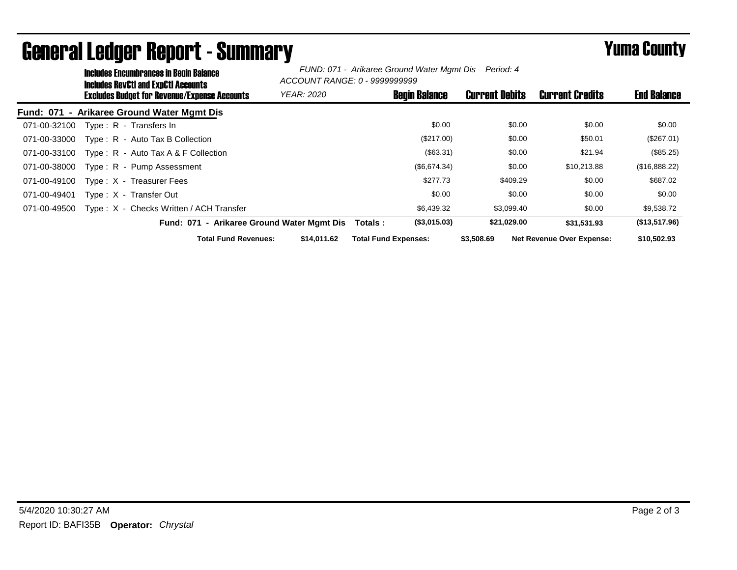|              | <b>Includes Encumbrances in Begin Balance</b><br>Includes RevCtI and ExpCtI Accounts |                                              |                   | FUND: 071 - Arikaree Ground Water Mgmt Dis Period: 4<br>ACCOUNT RANGE: 0 - 9999999999 |                       |                                  |                    |
|--------------|--------------------------------------------------------------------------------------|----------------------------------------------|-------------------|---------------------------------------------------------------------------------------|-----------------------|----------------------------------|--------------------|
|              |                                                                                      | Excludes Budget for Revenue/Expense Accounts | <b>YEAR: 2020</b> | <b>Begin Balance</b>                                                                  | <b>Current Debits</b> | <b>Current Credits</b>           | <b>End Balance</b> |
|              |                                                                                      | Fund: 071 - Arikaree Ground Water Mgmt Dis   |                   |                                                                                       |                       |                                  |                    |
| 071-00-32100 |                                                                                      | Type: R - Transfers In                       |                   | \$0.00                                                                                | \$0.00                | \$0.00                           | \$0.00             |
| 071-00-33000 |                                                                                      | Type: R - Auto Tax B Collection              |                   | (\$217.00)                                                                            | \$0.00                | \$50.01                          | (\$267.01)         |
| 071-00-33100 |                                                                                      | Type: R - Auto Tax A & F Collection          |                   | (\$63.31)                                                                             | \$0.00                | \$21.94                          | $(\$85.25)$        |
| 071-00-38000 |                                                                                      | Type: R - Pump Assessment                    |                   | (\$6,674.34)                                                                          | \$0.00                | \$10,213.88                      | (\$16,888.22)      |
| 071-00-49100 |                                                                                      | Type: X - Treasurer Fees                     |                   | \$277.73                                                                              | \$409.29              | \$0.00                           | \$687.02           |
| 071-00-49401 |                                                                                      | Type: X - Transfer Out                       |                   | \$0.00                                                                                | \$0.00                | \$0.00                           | \$0.00             |
| 071-00-49500 |                                                                                      | Type: X - Checks Written / ACH Transfer      |                   | \$6,439.32                                                                            | \$3,099.40            | \$0.00                           | \$9,538.72         |
|              |                                                                                      | Fund: 071 - Arikaree Ground Water Mgmt Dis   |                   | (S3,015.03)<br>Totals :                                                               | \$21,029.00           | \$31.531.93                      | (\$13,517.96)      |
|              |                                                                                      | <b>Total Fund Revenues:</b>                  | \$14,011.62       | <b>Total Fund Expenses:</b>                                                           | \$3,508.69            | <b>Net Revenue Over Expense:</b> | \$10,502.93        |

## General Ledger Report - Summary **Example 2018** Yuma County